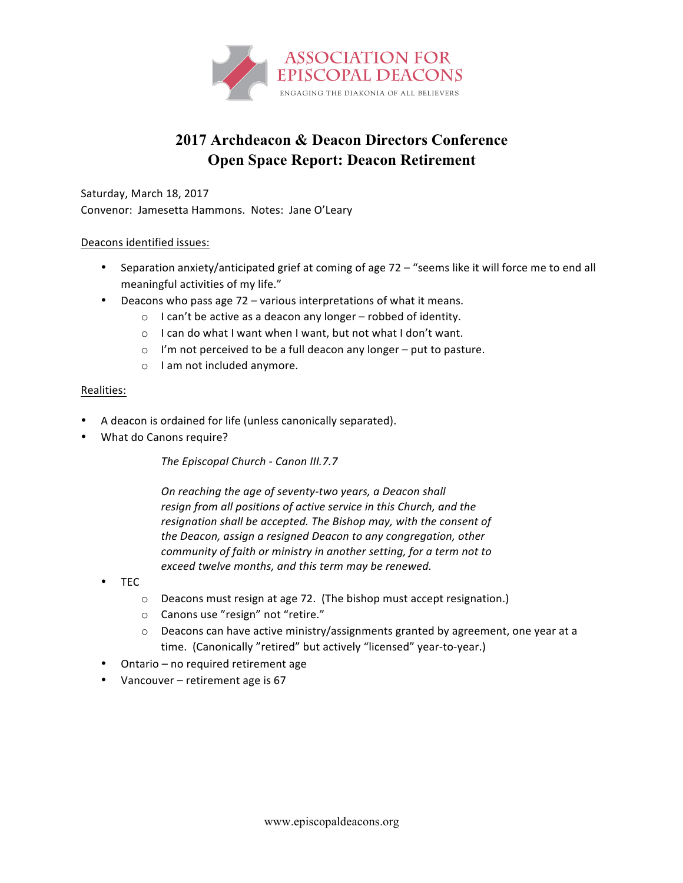

## **2017 Archdeacon & Deacon Directors Conference Open Space Report: Deacon Retirement**

Saturday, March 18, 2017 Convenor: Jamesetta Hammons. Notes: Jane O'Leary

## Deacons identified issues:

- Separation anxiety/anticipated grief at coming of age 72 "seems like it will force me to end all meaningful activities of my life."
- Deacons who pass age  $72$  various interpretations of what it means.
	- $\circ$  I can't be active as a deacon any longer robbed of identity.
	- $\circ$  I can do what I want when I want, but not what I don't want.
	- $\circ$  I'm not perceived to be a full deacon any longer put to pasture.
	- o I am not included anymore.

## Realities:

- A deacon is ordained for life (unless canonically separated).
- What do Canons require?

**The Episcopal Church - Canon III.7.7** 

*On reaching the age of seventy-two years, a Deacon shall* resign from all positions of active service in this Church, and the resignation shall be accepted. The Bishop may, with the consent of the Deacon, assign a resigned Deacon to any congregation, other *community of faith or ministry in another setting, for a term not to* exceed twelve months, and this term may be renewed.

- TEC
	- $\circ$  Deacons must resign at age 72. (The bishop must accept resignation.)
	- $\circ$  Canons use "resign" not "retire."
	- $\circ$  Deacons can have active ministry/assignments granted by agreement, one year at a time. (Canonically "retired" but actively "licensed" year-to-year.)
- Ontario no required retirement age
- Vancouver retirement age is 67